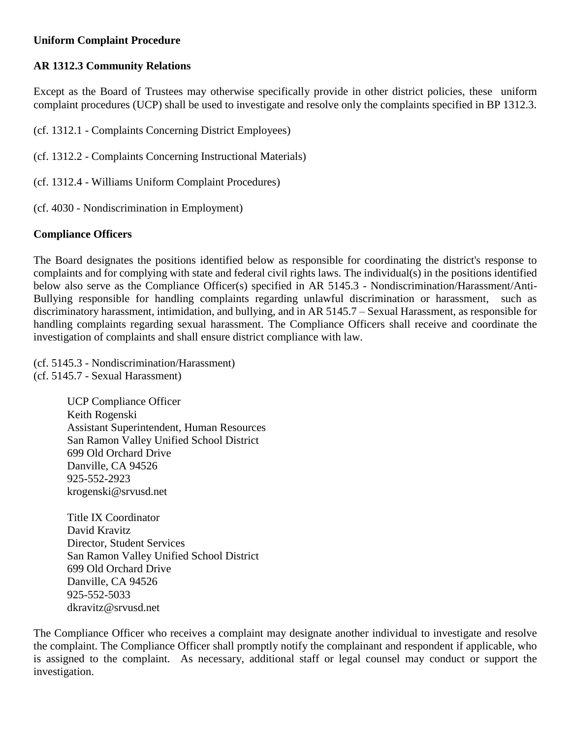#### **Uniform Complaint Procedure**

## **AR 1312.3 Community Relations**

Except as the Board of Trustees may otherwise specifically provide in other district policies, these uniform complaint procedures (UCP) shall be used to investigate and resolve only the complaints specified in BP 1312.3.

(cf. 1312.1 - Complaints Concerning District Employees)

- (cf. 1312.2 Complaints Concerning Instructional Materials)
- (cf. 1312.4 Williams Uniform Complaint Procedures)
- (cf. 4030 Nondiscrimination in Employment)

## **Compliance Officers**

The Board designates the positions identified below as responsible for coordinating the district's response to complaints and for complying with state and federal civil rights laws. The individual(s) in the positions identified below also serve as the Compliance Officer(s) specified in AR 5145.3 - Nondiscrimination/Harassment/Anti-Bullying responsible for handling complaints regarding unlawful discrimination or harassment, such as discriminatory harassment, intimidation, and bullying, and in AR 5145.7 – Sexual Harassment, as responsible for handling complaints regarding sexual harassment. The Compliance Officers shall receive and coordinate the investigation of complaints and shall ensure district compliance with law.

(cf. 5145.3 - Nondiscrimination/Harassment) (cf. 5145.7 - Sexual Harassment)

> UCP Compliance Officer Keith Rogenski Assistant Superintendent, Human Resources San Ramon Valley Unified School District 699 Old Orchard Drive Danville, CA 94526 925-552-2923 krogenski@srvusd.net

Title IX Coordinator David Kravitz Director, Student Services San Ramon Valley Unified School District 699 Old Orchard Drive Danville, CA 94526 925-552-5033 dkravitz@srvusd.net

The Compliance Officer who receives a complaint may designate another individual to investigate and resolve the complaint. The Compliance Officer shall promptly notify the complainant and respondent if applicable, who is assigned to the complaint. As necessary, additional staff or legal counsel may conduct or support the investigation.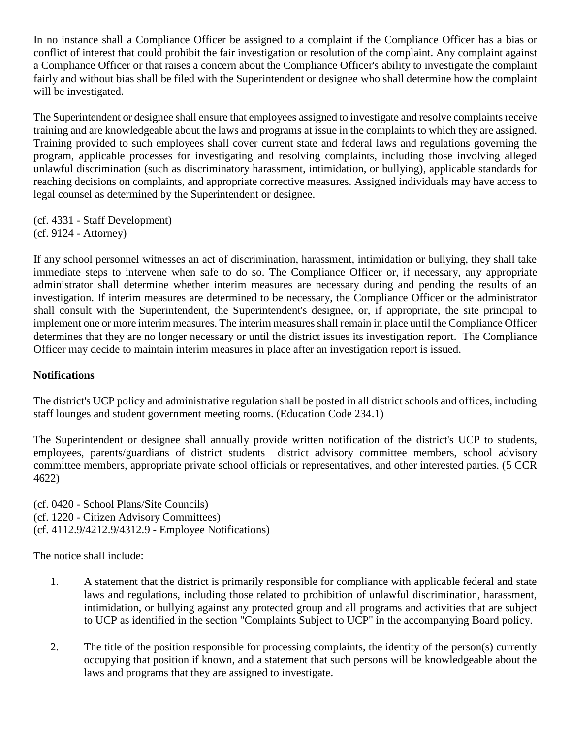In no instance shall a Compliance Officer be assigned to a complaint if the Compliance Officer has a bias or conflict of interest that could prohibit the fair investigation or resolution of the complaint. Any complaint against a Compliance Officer or that raises a concern about the Compliance Officer's ability to investigate the complaint fairly and without bias shall be filed with the Superintendent or designee who shall determine how the complaint will be investigated.

The Superintendent or designee shall ensure that employees assigned to investigate and resolve complaints receive training and are knowledgeable about the laws and programs at issue in the complaints to which they are assigned. Training provided to such employees shall cover current state and federal laws and regulations governing the program, applicable processes for investigating and resolving complaints, including those involving alleged unlawful discrimination (such as discriminatory harassment, intimidation, or bullying), applicable standards for reaching decisions on complaints, and appropriate corrective measures. Assigned individuals may have access to legal counsel as determined by the Superintendent or designee.

(cf. 4331 - Staff Development) (cf. 9124 - Attorney)

If any school personnel witnesses an act of discrimination, harassment, intimidation or bullying, they shall take immediate steps to intervene when safe to do so. The Compliance Officer or, if necessary, any appropriate administrator shall determine whether interim measures are necessary during and pending the results of an investigation. If interim measures are determined to be necessary, the Compliance Officer or the administrator shall consult with the Superintendent, the Superintendent's designee, or, if appropriate, the site principal to implement one or more interim measures. The interim measures shall remain in place until the Compliance Officer determines that they are no longer necessary or until the district issues its investigation report. The Compliance Officer may decide to maintain interim measures in place after an investigation report is issued.

#### **Notifications**

The district's UCP policy and administrative regulation shall be posted in all district schools and offices, including staff lounges and student government meeting rooms. (Education Code 234.1)

The Superintendent or designee shall annually provide written notification of the district's UCP to students, employees, parents/guardians of district students district advisory committee members, school advisory committee members, appropriate private school officials or representatives, and other interested parties. (5 CCR 4622)

(cf. 0420 - School Plans/Site Councils) (cf. 1220 - Citizen Advisory Committees) (cf. 4112.9/4212.9/4312.9 - Employee Notifications)

The notice shall include:

- 1. A statement that the district is primarily responsible for compliance with applicable federal and state laws and regulations, including those related to prohibition of unlawful discrimination, harassment, intimidation, or bullying against any protected group and all programs and activities that are subject to UCP as identified in the section "Complaints Subject to UCP" in the accompanying Board policy.
- 2. The title of the position responsible for processing complaints, the identity of the person(s) currently occupying that position if known, and a statement that such persons will be knowledgeable about the laws and programs that they are assigned to investigate.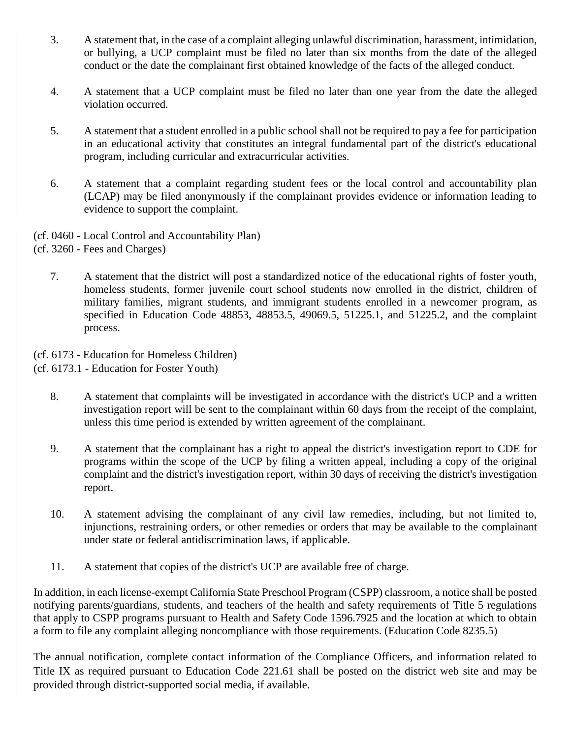- 3. A statement that, in the case of a complaint alleging unlawful discrimination, harassment, intimidation, or bullying, a UCP complaint must be filed no later than six months from the date of the alleged conduct or the date the complainant first obtained knowledge of the facts of the alleged conduct.
- 4. A statement that a UCP complaint must be filed no later than one year from the date the alleged violation occurred.
- 5. A statement that a student enrolled in a public school shall not be required to pay a fee for participation in an educational activity that constitutes an integral fundamental part of the district's educational program, including curricular and extracurricular activities.
- 6. A statement that a complaint regarding student fees or the local control and accountability plan (LCAP) may be filed anonymously if the complainant provides evidence or information leading to evidence to support the complaint.
- (cf. 0460 Local Control and Accountability Plan)

7. A statement that the district will post a standardized notice of the educational rights of foster youth, homeless students, former juvenile court school students now enrolled in the district, children of military families, migrant students, and immigrant students enrolled in a newcomer program, as specified in Education Code 48853, 48853.5, 49069.5, 51225.1, and 51225.2, and the complaint process.

(cf. 6173 - Education for Homeless Children)

(cf. 6173.1 - Education for Foster Youth)

- 8. A statement that complaints will be investigated in accordance with the district's UCP and a written investigation report will be sent to the complainant within 60 days from the receipt of the complaint, unless this time period is extended by written agreement of the complainant.
- 9. A statement that the complainant has a right to appeal the district's investigation report to CDE for programs within the scope of the UCP by filing a written appeal, including a copy of the original complaint and the district's investigation report, within 30 days of receiving the district's investigation report.
- 10. A statement advising the complainant of any civil law remedies, including, but not limited to, injunctions, restraining orders, or other remedies or orders that may be available to the complainant under state or federal antidiscrimination laws, if applicable.
- 11. A statement that copies of the district's UCP are available free of charge.

In addition, in each license-exempt California State Preschool Program (CSPP) classroom, a notice shall be posted notifying parents/guardians, students, and teachers of the health and safety requirements of Title 5 regulations that apply to CSPP programs pursuant to Health and Safety Code 1596.7925 and the location at which to obtain a form to file any complaint alleging noncompliance with those requirements. (Education Code 8235.5)

The annual notification, complete contact information of the Compliance Officers, and information related to Title IX as required pursuant to Education Code 221.61 shall be posted on the district web site and may be provided through district-supported social media, if available.

<sup>(</sup>cf. 3260 - Fees and Charges)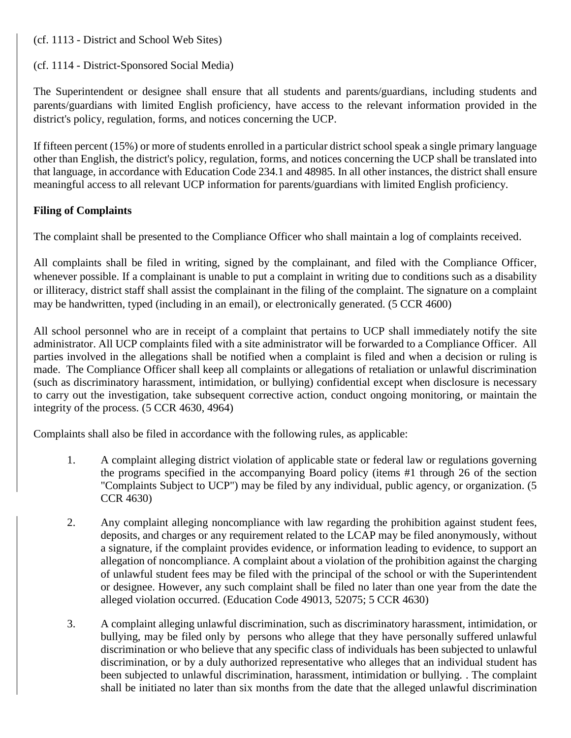(cf. 1113 - District and School Web Sites)

#### (cf. 1114 - District-Sponsored Social Media)

The Superintendent or designee shall ensure that all students and parents/guardians, including students and parents/guardians with limited English proficiency, have access to the relevant information provided in the district's policy, regulation, forms, and notices concerning the UCP.

If fifteen percent (15%) or more of students enrolled in a particular district school speak a single primary language other than English, the district's policy, regulation, forms, and notices concerning the UCP shall be translated into that language, in accordance with Education Code 234.1 and 48985. In all other instances, the district shall ensure meaningful access to all relevant UCP information for parents/guardians with limited English proficiency.

## **Filing of Complaints**

The complaint shall be presented to the Compliance Officer who shall maintain a log of complaints received.

All complaints shall be filed in writing, signed by the complainant, and filed with the Compliance Officer, whenever possible. If a complainant is unable to put a complaint in writing due to conditions such as a disability or illiteracy, district staff shall assist the complainant in the filing of the complaint. The signature on a complaint may be handwritten, typed (including in an email), or electronically generated. (5 CCR 4600)

All school personnel who are in receipt of a complaint that pertains to UCP shall immediately notify the site administrator. All UCP complaints filed with a site administrator will be forwarded to a Compliance Officer. All parties involved in the allegations shall be notified when a complaint is filed and when a decision or ruling is made. The Compliance Officer shall keep all complaints or allegations of retaliation or unlawful discrimination (such as discriminatory harassment, intimidation, or bullying) confidential except when disclosure is necessary to carry out the investigation, take subsequent corrective action, conduct ongoing monitoring, or maintain the integrity of the process. (5 CCR 4630, 4964)

Complaints shall also be filed in accordance with the following rules, as applicable:

- 1. A complaint alleging district violation of applicable state or federal law or regulations governing the programs specified in the accompanying Board policy (items #1 through 26 of the section "Complaints Subject to UCP") may be filed by any individual, public agency, or organization. (5 CCR 4630)
- 2. Any complaint alleging noncompliance with law regarding the prohibition against student fees, deposits, and charges or any requirement related to the LCAP may be filed anonymously, without a signature, if the complaint provides evidence, or information leading to evidence, to support an allegation of noncompliance. A complaint about a violation of the prohibition against the charging of unlawful student fees may be filed with the principal of the school or with the Superintendent or designee. However, any such complaint shall be filed no later than one year from the date the alleged violation occurred. (Education Code 49013, 52075; 5 CCR 4630)
- 3. A complaint alleging unlawful discrimination, such as discriminatory harassment, intimidation, or bullying, may be filed only by persons who allege that they have personally suffered unlawful discrimination or who believe that any specific class of individuals has been subjected to unlawful discrimination, or by a duly authorized representative who alleges that an individual student has been subjected to unlawful discrimination, harassment, intimidation or bullying. . The complaint shall be initiated no later than six months from the date that the alleged unlawful discrimination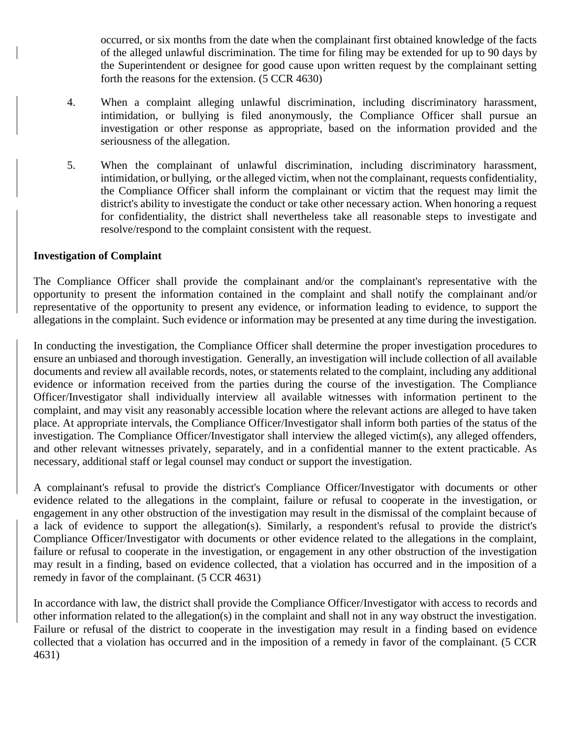occurred, or six months from the date when the complainant first obtained knowledge of the facts of the alleged unlawful discrimination. The time for filing may be extended for up to 90 days by the Superintendent or designee for good cause upon written request by the complainant setting forth the reasons for the extension. (5 CCR 4630)

- 4. When a complaint alleging unlawful discrimination, including discriminatory harassment, intimidation, or bullying is filed anonymously, the Compliance Officer shall pursue an investigation or other response as appropriate, based on the information provided and the seriousness of the allegation.
- 5. When the complainant of unlawful discrimination, including discriminatory harassment, intimidation, or bullying, or the alleged victim, when not the complainant, requests confidentiality, the Compliance Officer shall inform the complainant or victim that the request may limit the district's ability to investigate the conduct or take other necessary action. When honoring a request for confidentiality, the district shall nevertheless take all reasonable steps to investigate and resolve/respond to the complaint consistent with the request.

#### **Investigation of Complaint**

The Compliance Officer shall provide the complainant and/or the complainant's representative with the opportunity to present the information contained in the complaint and shall notify the complainant and/or representative of the opportunity to present any evidence, or information leading to evidence, to support the allegations in the complaint. Such evidence or information may be presented at any time during the investigation.

In conducting the investigation, the Compliance Officer shall determine the proper investigation procedures to ensure an unbiased and thorough investigation. Generally, an investigation will include collection of all available documents and review all available records, notes, or statements related to the complaint, including any additional evidence or information received from the parties during the course of the investigation. The Compliance Officer/Investigator shall individually interview all available witnesses with information pertinent to the complaint, and may visit any reasonably accessible location where the relevant actions are alleged to have taken place. At appropriate intervals, the Compliance Officer/Investigator shall inform both parties of the status of the investigation. The Compliance Officer/Investigator shall interview the alleged victim(s), any alleged offenders, and other relevant witnesses privately, separately, and in a confidential manner to the extent practicable. As necessary, additional staff or legal counsel may conduct or support the investigation.

A complainant's refusal to provide the district's Compliance Officer/Investigator with documents or other evidence related to the allegations in the complaint, failure or refusal to cooperate in the investigation, or engagement in any other obstruction of the investigation may result in the dismissal of the complaint because of a lack of evidence to support the allegation(s). Similarly, a respondent's refusal to provide the district's Compliance Officer/Investigator with documents or other evidence related to the allegations in the complaint, failure or refusal to cooperate in the investigation, or engagement in any other obstruction of the investigation may result in a finding, based on evidence collected, that a violation has occurred and in the imposition of a remedy in favor of the complainant. (5 CCR 4631)

In accordance with law, the district shall provide the Compliance Officer/Investigator with access to records and other information related to the allegation(s) in the complaint and shall not in any way obstruct the investigation. Failure or refusal of the district to cooperate in the investigation may result in a finding based on evidence collected that a violation has occurred and in the imposition of a remedy in favor of the complainant. (5 CCR 4631)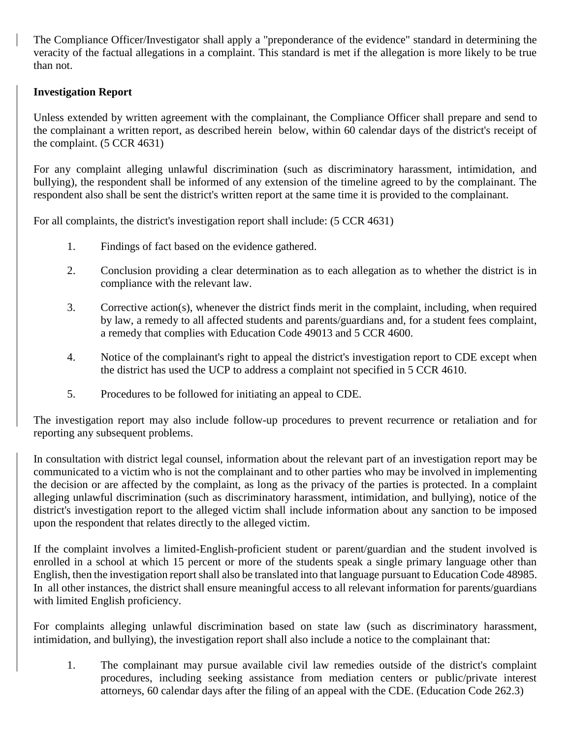The Compliance Officer/Investigator shall apply a "preponderance of the evidence" standard in determining the veracity of the factual allegations in a complaint. This standard is met if the allegation is more likely to be true than not.

#### **Investigation Report**

Unless extended by written agreement with the complainant, the Compliance Officer shall prepare and send to the complainant a written report, as described herein below, within 60 calendar days of the district's receipt of the complaint. (5 CCR 4631)

For any complaint alleging unlawful discrimination (such as discriminatory harassment, intimidation, and bullying), the respondent shall be informed of any extension of the timeline agreed to by the complainant. The respondent also shall be sent the district's written report at the same time it is provided to the complainant.

For all complaints, the district's investigation report shall include: (5 CCR 4631)

- 1. Findings of fact based on the evidence gathered.
- 2. Conclusion providing a clear determination as to each allegation as to whether the district is in compliance with the relevant law.
- 3. Corrective action(s), whenever the district finds merit in the complaint, including, when required by law, a remedy to all affected students and parents/guardians and, for a student fees complaint, a remedy that complies with Education Code 49013 and 5 CCR 4600.
- 4. Notice of the complainant's right to appeal the district's investigation report to CDE except when the district has used the UCP to address a complaint not specified in 5 CCR 4610.
- 5. Procedures to be followed for initiating an appeal to CDE.

The investigation report may also include follow-up procedures to prevent recurrence or retaliation and for reporting any subsequent problems.

In consultation with district legal counsel, information about the relevant part of an investigation report may be communicated to a victim who is not the complainant and to other parties who may be involved in implementing the decision or are affected by the complaint, as long as the privacy of the parties is protected. In a complaint alleging unlawful discrimination (such as discriminatory harassment, intimidation, and bullying), notice of the district's investigation report to the alleged victim shall include information about any sanction to be imposed upon the respondent that relates directly to the alleged victim.

If the complaint involves a limited-English-proficient student or parent/guardian and the student involved is enrolled in a school at which 15 percent or more of the students speak a single primary language other than English, then the investigation report shall also be translated into that language pursuant to Education Code 48985. In all other instances, the district shall ensure meaningful access to all relevant information for parents/guardians with limited English proficiency.

For complaints alleging unlawful discrimination based on state law (such as discriminatory harassment, intimidation, and bullying), the investigation report shall also include a notice to the complainant that:

1. The complainant may pursue available civil law remedies outside of the district's complaint procedures, including seeking assistance from mediation centers or public/private interest attorneys, 60 calendar days after the filing of an appeal with the CDE. (Education Code 262.3)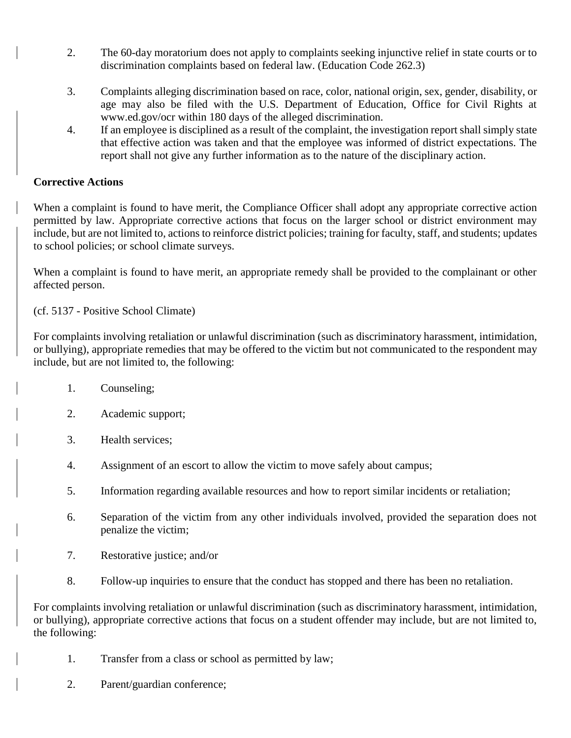- 2. The 60-day moratorium does not apply to complaints seeking injunctive relief in state courts or to discrimination complaints based on federal law. (Education Code 262.3)
- 3. Complaints alleging discrimination based on race, color, national origin, sex, gender, disability, or age may also be filed with the U.S. Department of Education, Office for Civil Rights at www.ed.gov/ocr within 180 days of the alleged discrimination.
- 4. If an employee is disciplined as a result of the complaint, the investigation report shall simply state that effective action was taken and that the employee was informed of district expectations. The report shall not give any further information as to the nature of the disciplinary action.

## **Corrective Actions**

When a complaint is found to have merit, the Compliance Officer shall adopt any appropriate corrective action permitted by law. Appropriate corrective actions that focus on the larger school or district environment may include, but are not limited to, actions to reinforce district policies; training for faculty, staff, and students; updates to school policies; or school climate surveys.

When a complaint is found to have merit, an appropriate remedy shall be provided to the complainant or other affected person.

(cf. 5137 - Positive School Climate)

For complaints involving retaliation or unlawful discrimination (such as discriminatory harassment, intimidation, or bullying), appropriate remedies that may be offered to the victim but not communicated to the respondent may include, but are not limited to, the following:

- 1. Counseling;
- 2. Academic support;
- 3. Health services;
- 4. Assignment of an escort to allow the victim to move safely about campus;
- 5. Information regarding available resources and how to report similar incidents or retaliation;
- 6. Separation of the victim from any other individuals involved, provided the separation does not penalize the victim;
- 7. Restorative justice; and/or
- 8. Follow-up inquiries to ensure that the conduct has stopped and there has been no retaliation.

For complaints involving retaliation or unlawful discrimination (such as discriminatory harassment, intimidation, or bullying), appropriate corrective actions that focus on a student offender may include, but are not limited to, the following:

- 1. Transfer from a class or school as permitted by law;
- 2. Parent/guardian conference;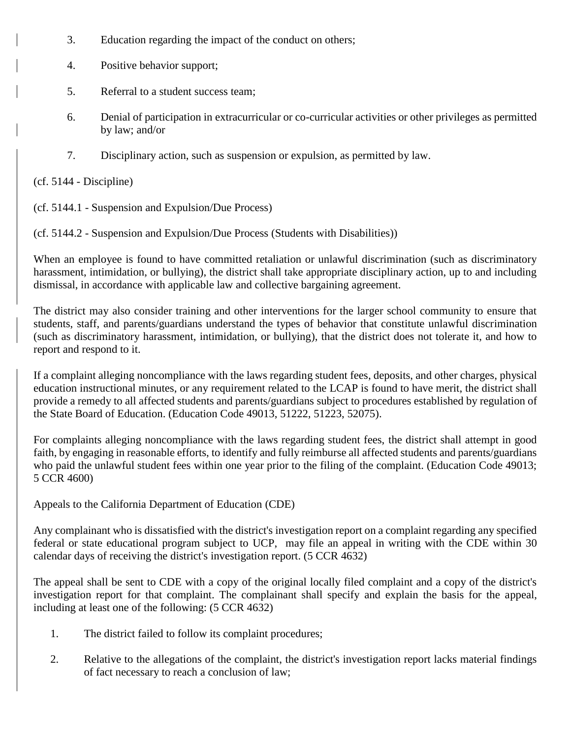- 3. Education regarding the impact of the conduct on others;
- 4. Positive behavior support;
- 5. Referral to a student success team;
- 6. Denial of participation in extracurricular or co-curricular activities or other privileges as permitted by law; and/or
- 7. Disciplinary action, such as suspension or expulsion, as permitted by law.

(cf. 5144 - Discipline)

(cf. 5144.1 - Suspension and Expulsion/Due Process)

(cf. 5144.2 - Suspension and Expulsion/Due Process (Students with Disabilities))

When an employee is found to have committed retaliation or unlawful discrimination (such as discriminatory harassment, intimidation, or bullying), the district shall take appropriate disciplinary action, up to and including dismissal, in accordance with applicable law and collective bargaining agreement.

The district may also consider training and other interventions for the larger school community to ensure that students, staff, and parents/guardians understand the types of behavior that constitute unlawful discrimination (such as discriminatory harassment, intimidation, or bullying), that the district does not tolerate it, and how to report and respond to it.

If a complaint alleging noncompliance with the laws regarding student fees, deposits, and other charges, physical education instructional minutes, or any requirement related to the LCAP is found to have merit, the district shall provide a remedy to all affected students and parents/guardians subject to procedures established by regulation of the State Board of Education. (Education Code 49013, 51222, 51223, 52075).

For complaints alleging noncompliance with the laws regarding student fees, the district shall attempt in good faith, by engaging in reasonable efforts, to identify and fully reimburse all affected students and parents/guardians who paid the unlawful student fees within one year prior to the filing of the complaint. (Education Code 49013; 5 CCR 4600)

Appeals to the California Department of Education (CDE)

Any complainant who is dissatisfied with the district's investigation report on a complaint regarding any specified federal or state educational program subject to UCP, may file an appeal in writing with the CDE within 30 calendar days of receiving the district's investigation report. (5 CCR 4632)

The appeal shall be sent to CDE with a copy of the original locally filed complaint and a copy of the district's investigation report for that complaint. The complainant shall specify and explain the basis for the appeal, including at least one of the following: (5 CCR 4632)

- 1. The district failed to follow its complaint procedures;
- 2. Relative to the allegations of the complaint, the district's investigation report lacks material findings of fact necessary to reach a conclusion of law;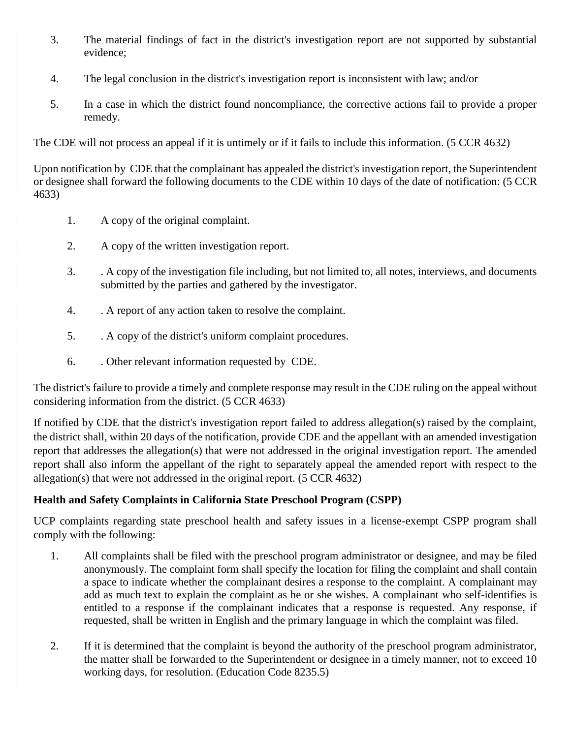- 3. The material findings of fact in the district's investigation report are not supported by substantial evidence;
- 4. The legal conclusion in the district's investigation report is inconsistent with law; and/or
- 5. In a case in which the district found noncompliance, the corrective actions fail to provide a proper remedy.

The CDE will not process an appeal if it is untimely or if it fails to include this information. (5 CCR 4632)

Upon notification by CDE that the complainant has appealed the district's investigation report, the Superintendent or designee shall forward the following documents to the CDE within 10 days of the date of notification: (5 CCR 4633)

- 1. A copy of the original complaint.
- 2. A copy of the written investigation report.
- 3. . A copy of the investigation file including, but not limited to, all notes, interviews, and documents submitted by the parties and gathered by the investigator.
- 4. . A report of any action taken to resolve the complaint.
- 5. . A copy of the district's uniform complaint procedures.
- 6. . Other relevant information requested by CDE.

The district's failure to provide a timely and complete response may result in the CDE ruling on the appeal without considering information from the district. (5 CCR 4633)

If notified by CDE that the district's investigation report failed to address allegation(s) raised by the complaint, the district shall, within 20 days of the notification, provide CDE and the appellant with an amended investigation report that addresses the allegation(s) that were not addressed in the original investigation report. The amended report shall also inform the appellant of the right to separately appeal the amended report with respect to the allegation(s) that were not addressed in the original report. (5 CCR 4632)

# **Health and Safety Complaints in California State Preschool Program (CSPP)**

UCP complaints regarding state preschool health and safety issues in a license-exempt CSPP program shall comply with the following:

- 1. All complaints shall be filed with the preschool program administrator or designee, and may be filed anonymously. The complaint form shall specify the location for filing the complaint and shall contain a space to indicate whether the complainant desires a response to the complaint. A complainant may add as much text to explain the complaint as he or she wishes. A complainant who self-identifies is entitled to a response if the complainant indicates that a response is requested. Any response, if requested, shall be written in English and the primary language in which the complaint was filed.
- 2. If it is determined that the complaint is beyond the authority of the preschool program administrator, the matter shall be forwarded to the Superintendent or designee in a timely manner, not to exceed 10 working days, for resolution. (Education Code 8235.5)